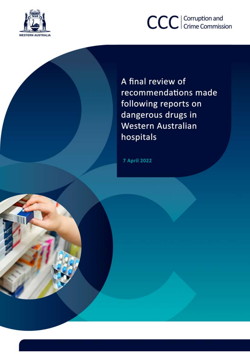

# CCC | Corruption and

A final review of recommendations made following reports on dangerous drugs in Western Australian hospitals

**7 April 2022**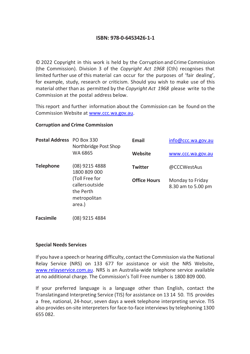#### **ISBN: 978-0-6453426-1-1**

© 2022 Copyright in this work is held by the Corruption and Crime Commission (the Commission). Division 3 of the *Copyright Act 1968* (Cth) recognises that limited further use of this material can occur for the purposes of 'fair dealing', for example, study, research or criticism. Should you wish to make use of this material other than as permitted by the *Copyright Act 1968* please write to the Commission at the postal address below.

This report and further information about the Commission can be found on the Commission Website at [www.ccc.wa.gov.au.](http://www.ccc.wa.gov.au/)

#### **Corruption and Crime Commission**

| <b>Postal Address</b> PO Box 330 | Northbridge Post Shop                                                                                      | <b>Email</b>        | info@ccc.wa.gov.au                     |
|----------------------------------|------------------------------------------------------------------------------------------------------------|---------------------|----------------------------------------|
|                                  | WA 6865                                                                                                    | Website             | www.ccc.wa.gov.au                      |
| <b>Telephone</b>                 | (08) 9215 4888<br>1800 809 000<br>(Toll Free for<br>callers outside<br>the Perth<br>metropolitan<br>area.) | <b>Twitter</b>      | @CCCWestAus                            |
|                                  |                                                                                                            | <b>Office Hours</b> | Monday to Friday<br>8.30 am to 5.00 pm |

**Facsimile** (08) 9215 4884

#### **Special Needs Services**

If you have a speech or hearing difficulty, contact the Commission via the National Relay Service (NRS) on 133 677 for assistance or visit the NRS Website, [www.relayservice.com.au.](http://www.relayservice.com.au/) NRS is an Australia-wide telephone service available at no additional charge. The Commission's Toll Free number is 1800 809 000.

If your preferred language is a language other than English, contact the Translatingand Interpreting Service (TIS) for assistance on 13 14 50. TIS provides a free, national, 24-hour, seven days a week telephone interpreting service. TIS also provides on-site interpretersfor face-to-face interviews by telephoning 1300 655 082.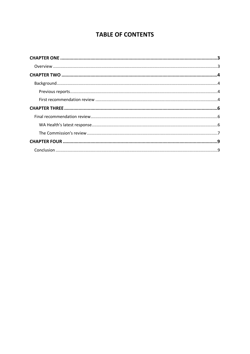## **TABLE OF CONTENTS**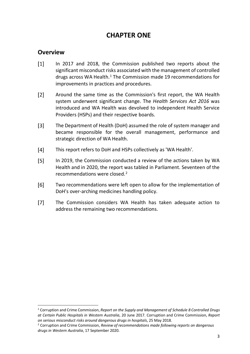# **CHAPTER ONE**

## <span id="page-3-1"></span><span id="page-3-0"></span>**Overview**

- $\lceil 1 \rceil$ In 2017 and 2018, the Commission published two reports about the significant misconduct risks associated with the management of controlled drugs across WA Health.<sup>[1](#page-3-2)</sup> The Commission made 19 recommendations for improvements in practices and procedures.
- $[2]$ Around the same time as the Commission's first report, the WA Health system underwent significant change. The *Health Services Act 2016* was introduced and WA Health was devolved to independent Health Service Providers (HSPs) and their respective boards.
- $[3]$ The Department of Health (DoH) assumed the role of system manager and became responsible for the overall management, performance and strategic direction of WA Health.
- $[4]$ This report refers to DoH and HSPs collectively as 'WA Health'.
- $[5]$ In 2019, the Commission conducted a review of the actions taken by WA Health and in 2020, the report was tabled in Parliament. Seventeen of the recommendations were closed.[2](#page-3-3)
- $[6]$ Two recommendations were left open to allow for the implementation of DoH's over-arching medicines handling policy.
- $[7]$ The Commission considers WA Health has taken adequate action to address the remaining two recommendations.

<span id="page-3-2"></span> <sup>1</sup> Corruption and Crime Commission, *Report on the Supply and Management of Schedule 8 Controlled Drugs at Certain Public Hospitals in Western Australia*, 20 June 2017. Corruption and Crime Commission, *Report on serious misconduct risks around dangerous drugs in hospitals*, 25 May 2018.

<span id="page-3-3"></span><sup>2</sup> Corruption and Crime Commission, *Review of recommendations made following reports on dangerous drugs in Western Australia*, 17 September 2020.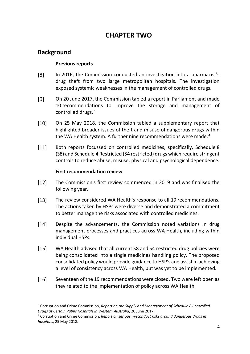# **CHAPTER TWO**

## <span id="page-4-2"></span><span id="page-4-1"></span><span id="page-4-0"></span>**Background**

#### **Previous reports**

- $[8]$ In 2016, the Commission conducted an investigation into a pharmacist's drug theft from two large metropolitan hospitals. The investigation exposed systemic weaknesses in the management of controlled drugs.
- $[9]$ On 20 June 2017, the Commission tabled a report in Parliament and made 10 recommendations to improve the storage and management of controlled drugs.[3](#page-4-4)
- $[10]$ On 25 May 2018, the Commission tabled a supplementary report that highlighted broader issues of theft and misuse of dangerous drugs within the WA Health system. A further nine recommendations were made.<sup>[4](#page-4-5)</sup>
- $[11]$ Both reports focussed on controlled medicines, specifically, Schedule 8 (S8) and Schedule 4 Restricted (S4 restricted) drugs which require stringent controls to reduce abuse, misuse, physical and psychological dependence.

#### **First recommendation review**

- <span id="page-4-3"></span> $[12]$ The Commission's first review commenced in 2019 and was finalised the following year.
- $[13]$ The review considered WA Health's response to all 19 recommendations. The actions taken by HSPs were diverse and demonstrated a commitment to better manage the risks associated with controlled medicines.
- $[14]$ Despite the advancements, the Commission noted variations in drug management processes and practices across WA Health, including within individual HSPs.
- $[15]$ WA Health advised that all current S8 and S4 restricted drug policies were being consolidated into a single medicines handling policy. The proposed consolidated policy would provide guidance to HSP's and assist in achieving a level of consistency across WA Health, but was yet to be implemented.
- $[16]$ Seventeen of the 19 recommendations were closed. Two were left open as they related to the implementation of policy across WA Health.

<span id="page-4-4"></span> <sup>3</sup> Corruption and Crime Commission, *Report on the Supply and Management of Schedule 8 Controlled Drugs at Certain Public Hospitals in Western Australia*, 20 June 2017.

<span id="page-4-5"></span><sup>4</sup> Corruption and Crime Commission, *Report on serious misconduct risks around dangerous drugs in hospitals*, 25 May 2018.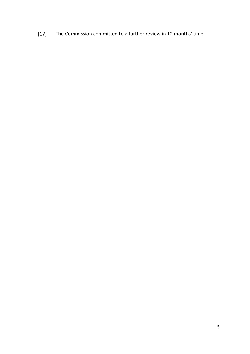[17] The Commission committed to a further review in 12 months' time.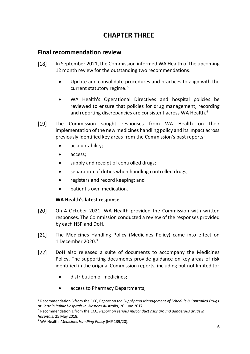# **CHAPTER THREE**

### <span id="page-6-1"></span><span id="page-6-0"></span>**Final recommendation review**

- $[18]$ In September 2021, the Commission informed WA Health of the upcoming 12 month review for the outstanding two recommendations:
	- Update and consolidate procedures and practices to align with the current statutory regime.<sup>[5](#page-6-3)</sup>
	- WA Health's Operational Directives and hospital policies be reviewed to ensure that policies for drug management, recording and reporting discrepancies are consistent across WA Health.<sup>[6](#page-6-4)</sup>
- $[19]$ The Commission sought responses from WA Health on their implementation of the new medicines handling policy and its impact across previously identified key areas from the Commission's past reports:
	- accountability;
	- access;
	- supply and receipt of controlled drugs;
	- separation of duties when handling controlled drugs;
	- registers and record keeping; and
	- patient's own medication.

#### **WA Health's latest response**

- <span id="page-6-2"></span> $[20]$ On 4 October 2021, WA Health provided the Commission with written responses. The Commission conducted a review of the responses provided by each HSP and DoH.
- $[21]$ The Medicines Handling Policy (Medicines Policy) came into effect on 1 December 2020.[7](#page-6-5)
- $[22]$ DoH also released a suite of documents to accompany the Medicines Policy. The supporting documents provide guidance on key areas of risk identified in the original Commission reports, including but not limited to:
	- distribution of medicines;
	- access to Pharmacy Departments;

<span id="page-6-3"></span> <sup>5</sup> Recommendation 6 from the CCC, R*eport on the Supply and Management of Schedule 8 Controlled Drugs at Certain Public Hospitals in Western Australia*, 20 June 2017.

<span id="page-6-4"></span><sup>6</sup> Recommendation 1 from the CCC, *Report on serious misconduct risks around dangerous drugs in hospitals*, 25 May 2018.

<span id="page-6-5"></span><sup>7</sup> WA Health, *Medicines Handling Policy* (MP 139/20).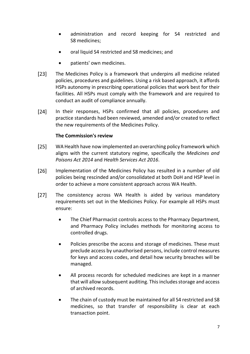- administration and record keeping for S4 restricted and S8 medicines;
- oral liquid S4 restricted and S8 medicines; and
- patients' own medicines.
- $[23]$ The Medicines Policy is a framework that underpins all medicine related policies, procedures and guidelines. Using a risk based approach, it affords HSPs autonomy in prescribing operational policies that work best for their facilities. All HSPs must comply with the framework and are required to conduct an audit of compliance annually.
- $[24]$ In their responses, HSPs confirmed that all policies, procedures and practice standards had been reviewed, amended and/or created to reflect the new requirements of the Medicines Policy.

#### **The Commission's review**

- <span id="page-7-0"></span> $[25]$ WA Health have now implemented an overarching policy framework which aligns with the current statutory regime, specifically the *Medicines and Poisons Act 2014* and *Health Services Act 2016*.
- $[26]$ Implementation of the Medicines Policy has resulted in a number of old policies being rescinded and/or consolidated at both DoH and HSP level in order to achieve a more consistent approach across WA Health.
- $[27]$ The consistency across WA Health is aided by various mandatory requirements set out in the Medicines Policy. For example all HSPs must ensure:
	- The Chief Pharmacist controls access to the Pharmacy Department, and Pharmacy Policy includes methods for monitoring access to controlled drugs.
	- Policies prescribe the access and storage of medicines. These must preclude access by unauthorised persons, include control measures for keys and access codes, and detail how security breaches will be managed.
	- All process records for scheduled medicines are kept in a manner that will allow subsequent auditing. This includes storage and access of archived records.
	- The chain of custody must be maintained for all S4 restricted and S8 medicines, so that transfer of responsibility is clear at each transaction point.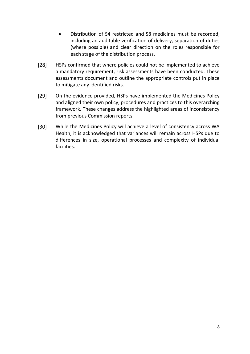- Distribution of S4 restricted and S8 medicines must be recorded, including an auditable verification of delivery, separation of duties (where possible) and clear direction on the roles responsible for each stage of the distribution process.
- $[28]$ HSPs confirmed that where policies could not be implemented to achieve a mandatory requirement, risk assessments have been conducted. These assessments document and outline the appropriate controls put in place to mitigate any identified risks.
- $[29]$ On the evidence provided, HSPs have implemented the Medicines Policy and aligned their own policy, procedures and practices to this overarching framework. These changes address the highlighted areas of inconsistency from previous Commission reports.
- $[30]$ While the Medicines Policy will achieve a level of consistency across WA Health, it is acknowledged that variances will remain across HSPs due to differences in size, operational processes and complexity of individual facilities.